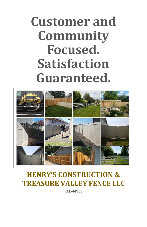# **Customer and Community Focused. Satisfaction Guaranteed.**



### **HENRY'S CONSTRUCTION & TREASURE VALLEY FENCE LLC**

**RCE-44953**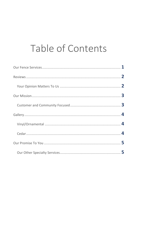### Table of Contents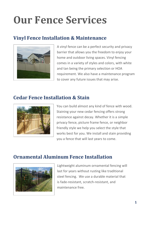# **Our Fence Services**

#### **Vinyl Fence Installation & Maintenance**



A vinyl fence can be a perfect security and privacy barrier that allows you the freedom to enjoy your home and outdoor living spaces. Vinyl fencing comes in a variety of styles and colors, with white and tan being the primary selection or HOA requirement. We also have a maintenance program to cover any future issues that may arise.

#### **Cedar Fence Installation & Stain**



You can build almost any kind of fence with wood. Staining your new cedar fencing offers strong resistance against decay. Whether it is a simple privacy fence, picture frame fence, or neighbor friendly style we help you select the style that works best for you. We install and stain providing you a fence that will last years to come.

#### **Ornamental Aluminum Fence Installation**



Lightweight aluminum ornamental fencing will last for years without rusting like traditional steel fencing. We use a durable material that is fade-resistant, scratch-resistant, and maintenance free.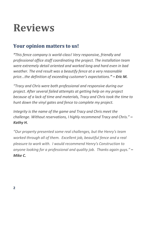### **Reviews**

#### **Your opinion matters to us!**

*"This fence company is world-class! Very responsive, friendly and professional office staff coordinating the project. The installation team were extremely detail oriented and worked long and hard even in bad weather. The end result was a beautify fence at a very reasonable price...the definition of exceeding customer's expectations." – Eric M.* 

*"Tracy and Chris were both professional and responsive during our project. After several failed attempts at getting help on my project because of a lack of time and materials, Tracy and Chris took the time to hunt down the vinyl gates and fence to complete my project.*

*Integrity is the name of the game and Tracy and Chris meet the challenge. Without reservations, I highly recommend Tracy and Chris." – Kathy H.*

*"Our property presented some real challenges, but the Henry's team worked through all of them. Excellent job, beautiful fence and a real pleasure to work with. I would recommend Henry's Construction to anyone looking for a professional and quality job. Thanks again guys." – Mike C.*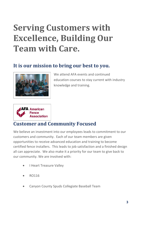### **Serving Customers with Excellence, Building Our Team with Care.**

#### **It is our mission to bring our best to you.**



We attend AFA events and continued education courses to stay current with industry knowledge and training.



#### **Customer and Community Focused**

We believe an investment into our employees leads to commitment to our customers and community. Each of our team members are given opportunities to receive advanced education and training to become certified fence installers. This leads to job satisfaction and a finished design all can appreciate. We also make it a priority for our team to give back to our community. We are involved with:

- I Heart Treasure Valley
- RO116
- Canyon County Spuds Collegiate Baseball Team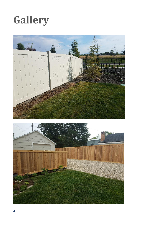### **Gallery**



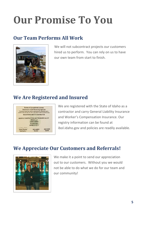# **Our Promise To You**

#### **Our Team Performs All Work**



We will not subcontract projects our customers hired us to perform. You can rely on us to have our own team from start to finish.

#### **We Are Registered and Insured**



We are registered with the State of Idaho as a contractor and carry General Liability Insurance and Worker's Compensation Insurance. Our registry information can be found at ibol.idaho.gov and policies are readily available.

#### **We Appreciate Our Customers and Referrals!**



We make it a point to send our appreciation out to our customers. Without you we would not be able to do what we do for our team and our community!